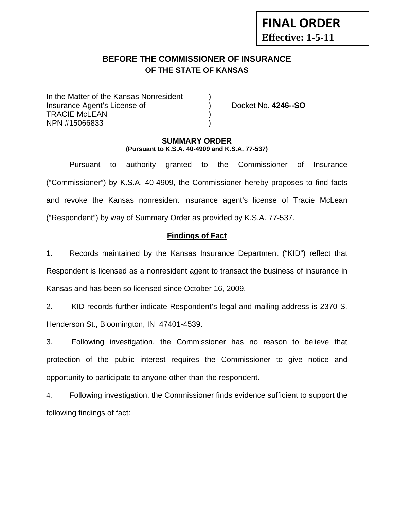# **Effective: 1-5-11**

**FINAL ORDER**

# **BEFORE THE COMMISSIONER OF INSURANCE OF THE STATE OF KANSAS**

In the Matter of the Kansas Nonresident Insurance Agent's License of ) Docket No. **4246--SO** TRACIE McLEAN ) NPN #15066833 )

#### **SUMMARY ORDER (Pursuant to K.S.A. 40-4909 and K.S.A. 77-537)**

 Pursuant to authority granted to the Commissioner of Insurance ("Commissioner") by K.S.A. 40-4909, the Commissioner hereby proposes to find facts and revoke the Kansas nonresident insurance agent's license of Tracie McLean ("Respondent") by way of Summary Order as provided by K.S.A. 77-537.

## **Findings of Fact**

1. Records maintained by the Kansas Insurance Department ("KID") reflect that Respondent is licensed as a nonresident agent to transact the business of insurance in Kansas and has been so licensed since October 16, 2009.

2. KID records further indicate Respondent's legal and mailing address is 2370 S. Henderson St., Bloomington, IN 47401-4539.

3. Following investigation, the Commissioner has no reason to believe that protection of the public interest requires the Commissioner to give notice and opportunity to participate to anyone other than the respondent.

4. Following investigation, the Commissioner finds evidence sufficient to support the following findings of fact: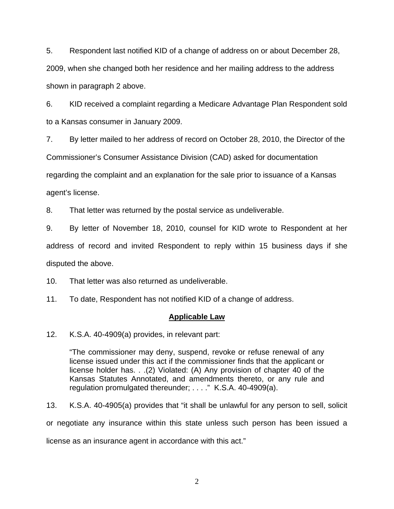5. Respondent last notified KID of a change of address on or about December 28, 2009, when she changed both her residence and her mailing address to the address shown in paragraph 2 above.

6. KID received a complaint regarding a Medicare Advantage Plan Respondent sold to a Kansas consumer in January 2009.

7. By letter mailed to her address of record on October 28, 2010, the Director of the Commissioner's Consumer Assistance Division (CAD) asked for documentation regarding the complaint and an explanation for the sale prior to issuance of a Kansas agent's license.

8. That letter was returned by the postal service as undeliverable.

9. By letter of November 18, 2010, counsel for KID wrote to Respondent at her address of record and invited Respondent to reply within 15 business days if she disputed the above.

10. That letter was also returned as undeliverable.

11. To date, Respondent has not notified KID of a change of address.

#### **Applicable Law**

12. K.S.A. 40-4909(a) provides, in relevant part:

"The commissioner may deny, suspend, revoke or refuse renewal of any license issued under this act if the commissioner finds that the applicant or license holder has. . .(2) Violated: (A) Any provision of chapter 40 of the Kansas Statutes Annotated, and amendments thereto, or any rule and regulation promulgated thereunder; . . . ." K.S.A. 40-4909(a).

13. K.S.A. 40-4905(a) provides that "it shall be unlawful for any person to sell, solicit or negotiate any insurance within this state unless such person has been issued a license as an insurance agent in accordance with this act."

2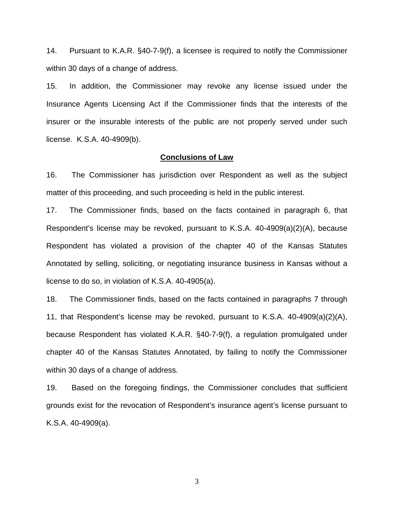14. Pursuant to K.A.R. §40-7-9(f), a licensee is required to notify the Commissioner within 30 days of a change of address.

15. In addition, the Commissioner may revoke any license issued under the Insurance Agents Licensing Act if the Commissioner finds that the interests of the insurer or the insurable interests of the public are not properly served under such license. K.S.A. 40-4909(b).

#### **Conclusions of Law**

16. The Commissioner has jurisdiction over Respondent as well as the subject matter of this proceeding, and such proceeding is held in the public interest.

17. The Commissioner finds, based on the facts contained in paragraph 6, that Respondent's license may be revoked, pursuant to K.S.A. 40-4909(a)(2)(A), because Respondent has violated a provision of the chapter 40 of the Kansas Statutes Annotated by selling, soliciting, or negotiating insurance business in Kansas without a license to do so, in violation of K.S.A. 40-4905(a).

18. The Commissioner finds, based on the facts contained in paragraphs 7 through 11, that Respondent's license may be revoked, pursuant to K.S.A. 40-4909(a)(2)(A), because Respondent has violated K.A.R. §40-7-9(f), a regulation promulgated under chapter 40 of the Kansas Statutes Annotated, by failing to notify the Commissioner within 30 days of a change of address.

19. Based on the foregoing findings, the Commissioner concludes that sufficient grounds exist for the revocation of Respondent's insurance agent's license pursuant to K.S.A. 40-4909(a).

3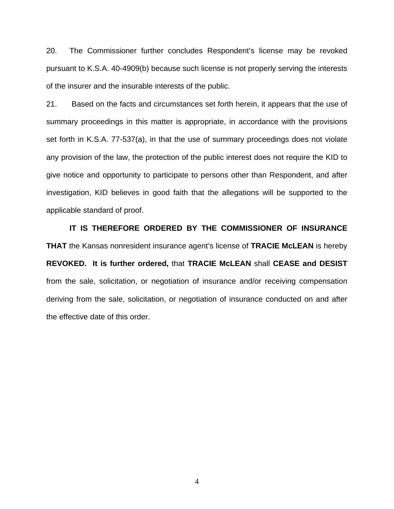20. The Commissioner further concludes Respondent's license may be revoked pursuant to K.S.A. 40-4909(b) because such license is not properly serving the interests of the insurer and the insurable interests of the public.

21. Based on the facts and circumstances set forth herein, it appears that the use of summary proceedings in this matter is appropriate, in accordance with the provisions set forth in K.S.A. 77-537(a), in that the use of summary proceedings does not violate any provision of the law, the protection of the public interest does not require the KID to give notice and opportunity to participate to persons other than Respondent, and after investigation, KID believes in good faith that the allegations will be supported to the applicable standard of proof.

 **IT IS THEREFORE ORDERED BY THE COMMISSIONER OF INSURANCE THAT** the Kansas nonresident insurance agent's license of **TRACIE McLEAN** is hereby **REVOKED. It is further ordered,** that **TRACIE McLEAN** shall **CEASE and DESIST** from the sale, solicitation, or negotiation of insurance and/or receiving compensation deriving from the sale, solicitation, or negotiation of insurance conducted on and after the effective date of this order.

4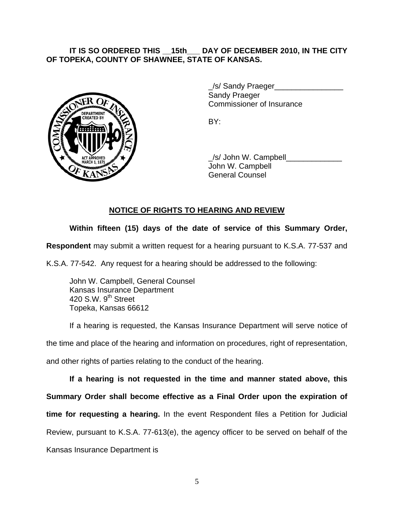## **IT IS SO ORDERED THIS \_\_15th\_\_\_ DAY OF DECEMBER 2010, IN THE CITY OF TOPEKA, COUNTY OF SHAWNEE, STATE OF KANSAS.**



/s/ Sandy Praeger Sandy Praeger Commissioner of Insurance

 \_/s/ John W. Campbell\_\_\_\_\_\_\_\_\_\_\_\_\_ John W. Campbell General Counsel

## **NOTICE OF RIGHTS TO HEARING AND REVIEW**

## **Within fifteen (15) days of the date of service of this Summary Order,**

**Respondent** may submit a written request for a hearing pursuant to K.S.A. 77-537 and

K.S.A. 77-542. Any request for a hearing should be addressed to the following:

 John W. Campbell, General Counsel Kansas Insurance Department 420 S.W. 9<sup>th</sup> Street Topeka, Kansas 66612

If a hearing is requested, the Kansas Insurance Department will serve notice of the time and place of the hearing and information on procedures, right of representation, and other rights of parties relating to the conduct of the hearing.

**If a hearing is not requested in the time and manner stated above, this Summary Order shall become effective as a Final Order upon the expiration of time for requesting a hearing.** In the event Respondent files a Petition for Judicial Review, pursuant to K.S.A. 77-613(e), the agency officer to be served on behalf of the Kansas Insurance Department is